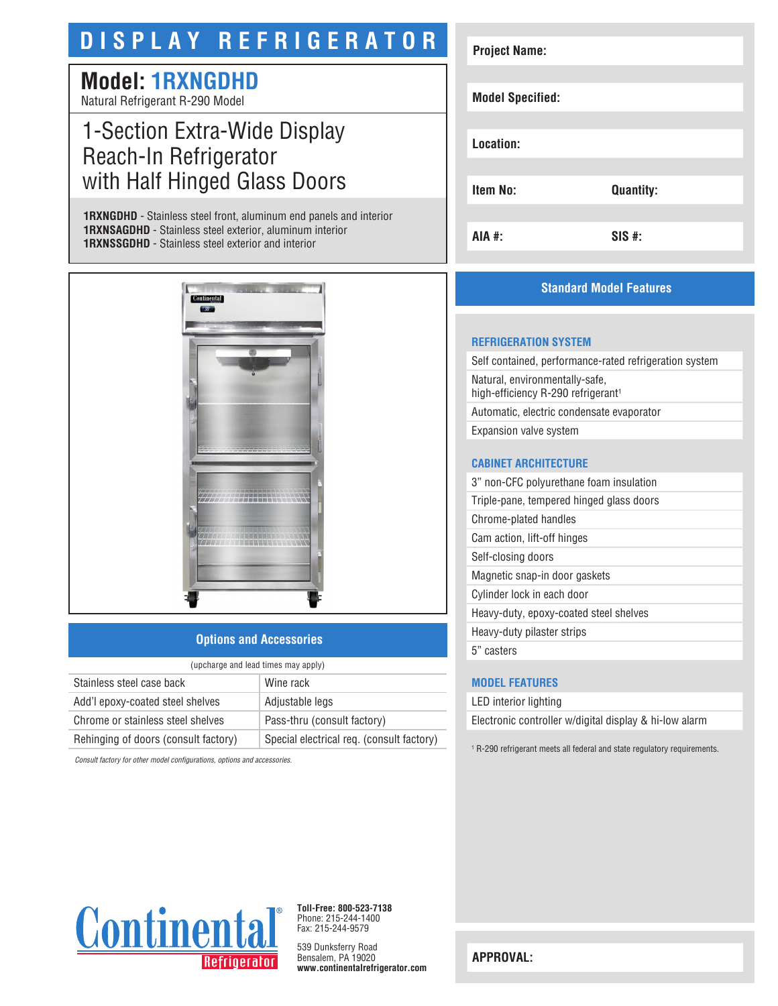# **DISPLAY REFRIGERATOR**

# **Model: 1RXNGDHD**

Natural Refrigerant R-290 Model

# 1-Section Extra-Wide Display Reach-In Refrigerator with Half Hinged Glass Doors

**1RXNGDHD** - Stainless steel front, aluminum end panels and interior **1RXNSAGDHD** - Stainless steel exterior, aluminum interior **1RXNSSGDHD** - Stainless steel exterior and interior



### **Options and Accessories**

| (upcharge and lead times may apply)  |                                           |  |
|--------------------------------------|-------------------------------------------|--|
| Stainless steel case back            | Wine rack                                 |  |
| Add'l epoxy-coated steel shelves     | Adjustable legs                           |  |
| Chrome or stainless steel shelves    | Pass-thru (consult factory)               |  |
| Rehinging of doors (consult factory) | Special electrical req. (consult factory) |  |

*Consult factory for other model configurations, options and accessories.*

| <b>Project Name:</b>    |                  |
|-------------------------|------------------|
|                         |                  |
| <b>Model Specified:</b> |                  |
|                         |                  |
| Location:               |                  |
|                         |                  |
| <b>Item No:</b>         | <b>Quantity:</b> |
|                         |                  |
| AIA #:                  | $SIS$ #:         |

## **Standard Model Features**

#### **REFRIGERATION SYSTEM**

Self contained, performance-rated refrigeration system Natural, environmentally-safe, high-efficiency R-290 refrigerant<sup>1</sup> Automatic, electric condensate evaporator Expansion valve system

#### **CABINET ARCHITECTURE**

3" non-CFC polyurethane foam insulation Triple-pane, tempered hinged glass doors Chrome-plated handles Cam action, lift-off hinges Self-closing doors Magnetic snap-in door gaskets Cylinder lock in each door Heavy-duty, epoxy-coated steel shelves Heavy-duty pilaster strips 5" casters

#### **MODEL FEATURES**

LED interior lighting Electronic controller w/digital display & hi-low alarm

1 R-290 refrigerant meets all federal and state regulatory requirements.



**Toll-Free: 800-523-7138** Phone: 215-244-1400 Fax: 215-244-9579

539 Dunksferry Road Bensalem, PA 19020 **www.continentalrefrigerator.com** 

**APPROVAL:**